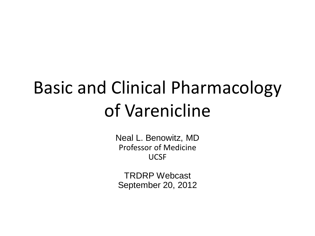## Basic and Clinical Pharmacology of Varenicline

Neal L. Benowitz, MD Professor of Medicine UCSF

TRDRP Webcast September 20, 2012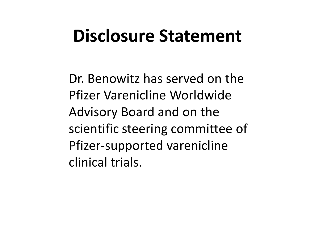## **Disclosure Statement**

Dr. Benowitz has served on the Pfizer Varenicline Worldwide Advisory Board and on the scientific steering committee of Pfizer-supported varenicline clinical trials.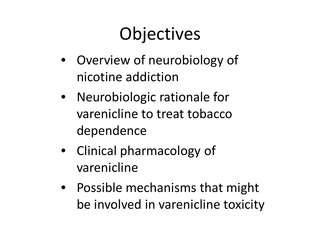## **Objectives**

- Overview of neurobiology of nicotine addiction
- Neurobiologic rationale for varenicline to treat tobacco dependence
- Clinical pharmacology of varenicline
- Possible mechanisms that might be involved in varenicline toxicity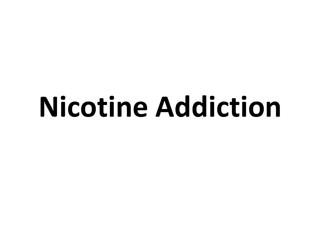## **Nicotine Addiction**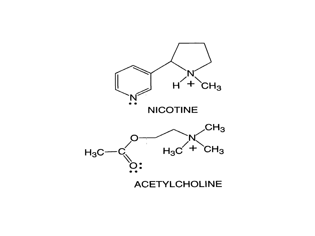

**ACETYLCHOLINE**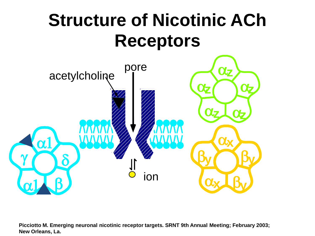## **Structure of Nicotinic ACh Receptors**



**Picciotto M. Emerging neuronal nicotinic receptor targets***.* **SRNT 9th Annual Meeting; February 2003; New Orleans, La.**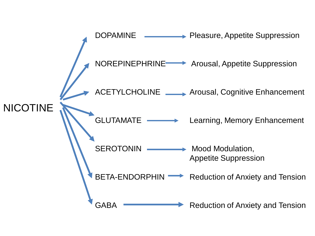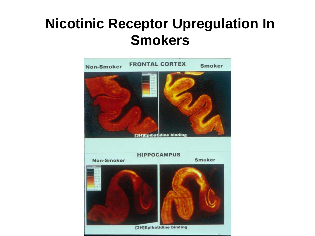#### **Nicotinic Receptor Upregulation In Smokers**

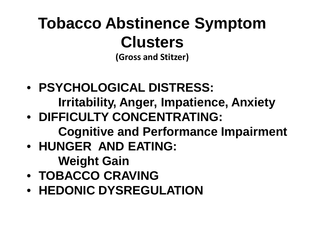## **Tobacco Abstinence Symptom Clusters**

**(Gross and Stitzer)**

- **PSYCHOLOGICAL DISTRESS: Irritability, Anger, Impatience, Anxiety**
- **DIFFICULTY CONCENTRATING: Cognitive and Performance Impairment**
- **HUNGER AND EATING: Weight Gain**
- **TOBACCO CRAVING**
- **HEDONIC DYSREGULATION**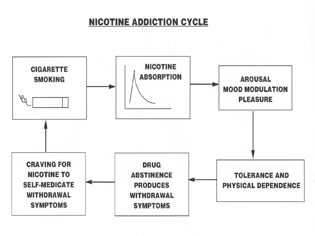#### **NICOTINE ADDICTION CYCLE**

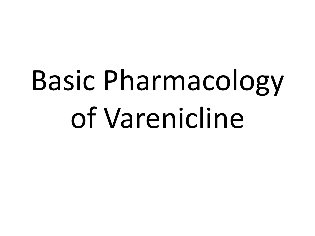## Basic Pharmacology of Varenicline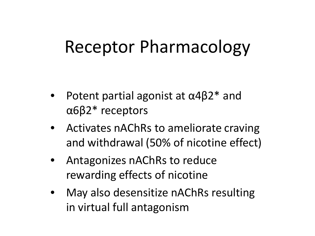### Receptor Pharmacology

- Potent partial agonist at  $\alpha$ 4 $\beta$ 2\* and α6β2\* receptors
- Activates nAChRs to ameliorate craving and withdrawal (50% of nicotine effect)
- Antagonizes nAChRs to reduce rewarding effects of nicotine
- May also desensitize nAChRs resulting in virtual full antagonism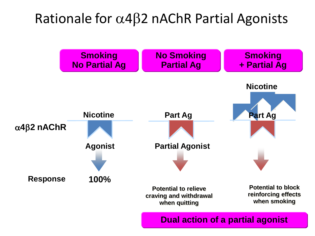#### Rationale for α4β2 nAChR Partial Agonists

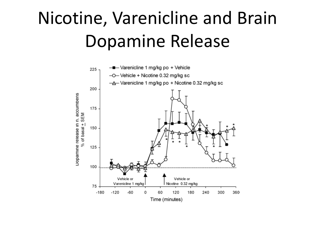## Nicotine, Varenicline and Brain Dopamine Release

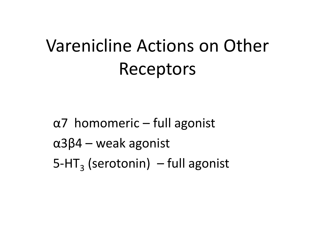## Varenicline Actions on Other Receptors

α7 homomeric – full agonist  $α3β4$  – weak agonist  $5-HT<sub>3</sub>$  (serotonin) – full agonist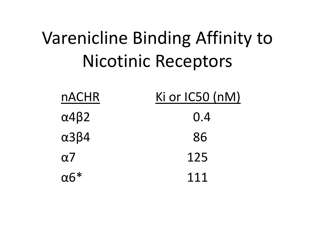## Varenicline Binding Affinity to Nicotinic Receptors

| <b>nACHR</b>          | Ki or $IC50$ (nM) |
|-----------------------|-------------------|
| $\alpha$ 4 $\beta$ 2  | 0.4               |
| $\alpha$ 3 $\beta$ 4  | 86                |
| $\alpha$ 7            | 125               |
| $\alpha$ <sup>*</sup> | 111               |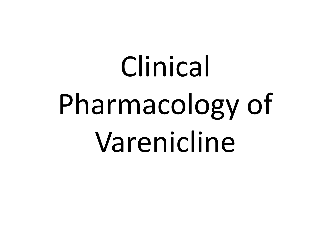## Clinical Pharmacology of Varenicline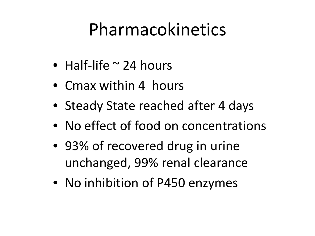## Pharmacokinetics

- Half-life  $\sim$  24 hours
- Cmax within 4 hours
- Steady State reached after 4 days
- No effect of food on concentrations
- 93% of recovered drug in urine unchanged, 99% renal clearance
- No inhibition of P450 enzymes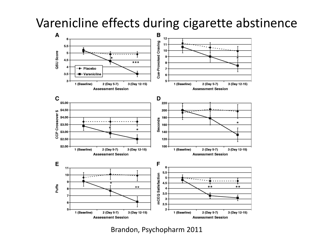#### Varenicline effects during cigarette abstinence



Brandon, Psychopharm 2011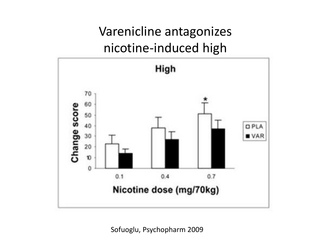#### Varenicline antagonizes nicotine-induced high



Sofuoglu, Psychopharm 2009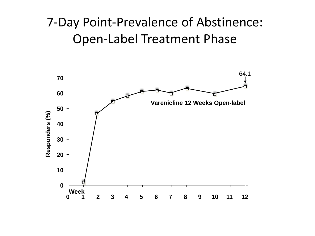#### -Day Point-Prevalence of Abstinence: Open-Label Treatment Phase

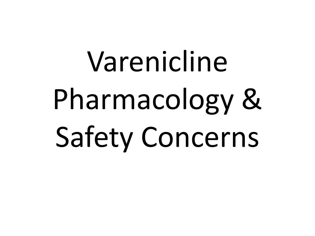# Varenicline Pharmacology & Safety Concerns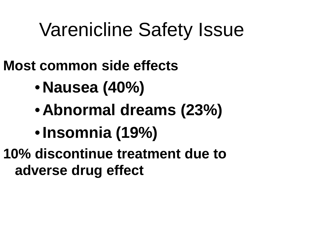## Varenicline Safety Issue

- **Most common side effects**
	- **Nausea (40%)**
	- **Abnormal dreams (23%)**
	- •**Insomnia (19%)**
- **10% discontinue treatment due to adverse drug effect**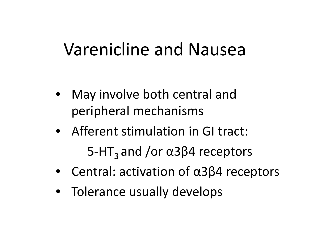## Varenicline and Nausea

- May involve both central and peripheral mechanisms
- Afferent stimulation in GI tract: 5-HT<sub>3</sub> and /or  $\alpha$ 3β4 receptors
- Central: activation of α3β4 receptors
- Tolerance usually develops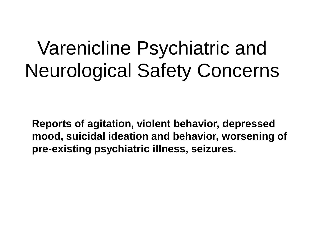## Varenicline Psychiatric and Neurological Safety Concerns

**Reports of agitation, violent behavior, depressed mood, suicidal ideation and behavior, worsening of pre-existing psychiatric illness, seizures.**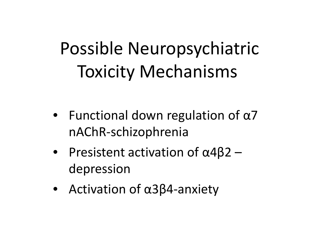## Possible Neuropsychiatric Toxicity Mechanisms

- Functional down regulation of  $\alpha$ 7 nAChR-schizophrenia
- Presistent activation of  $\alpha$ 4 $\beta$ 2 depression
- Activation of α3β4-anxiety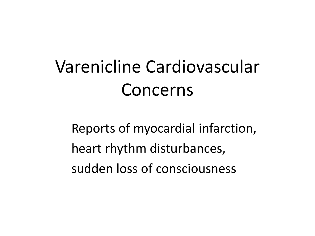## Varenicline Cardiovascular Concerns

Reports of myocardial infarction, heart rhythm disturbances, sudden loss of consciousness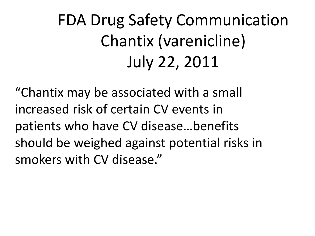## FDA Drug Safety Communication Chantix (varenicline) July 22, 2011

"Chantix may be associated with a small increased risk of certain CV events in patients who have CV disease…benefits should be weighed against potential risks in smokers with CV disease."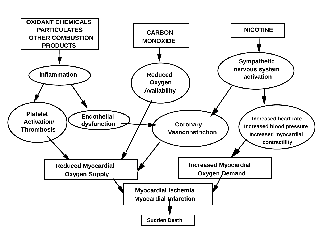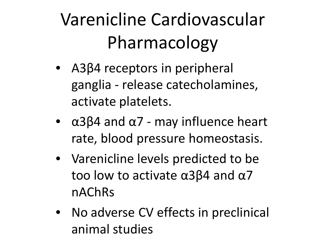## Varenicline Cardiovascular Pharmacology

- A3β4 receptors in peripheral ganglia - release catecholamines, activate platelets.
- $\alpha$ 3 $\beta$ 4 and  $\alpha$ 7 may influence heart rate, blood pressure homeostasis.
- Varenicline levels predicted to be too low to activate α3β4 and α7 nAChRs
- No adverse CV effects in preclinical animal studies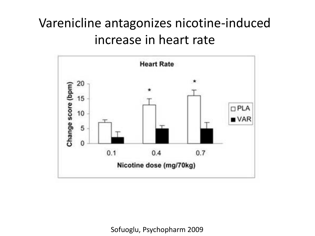#### Varenicline antagonizes nicotine-induced increase in heart rate



Sofuoglu, Psychopharm 2009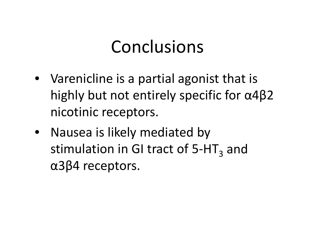### Conclusions

- Varenicline is a partial agonist that is highly but not entirely specific for α4β2 nicotinic receptors.
- Nausea is likely mediated by stimulation in GI tract of  $5-HT<sub>3</sub>$  and α3β4 receptors.